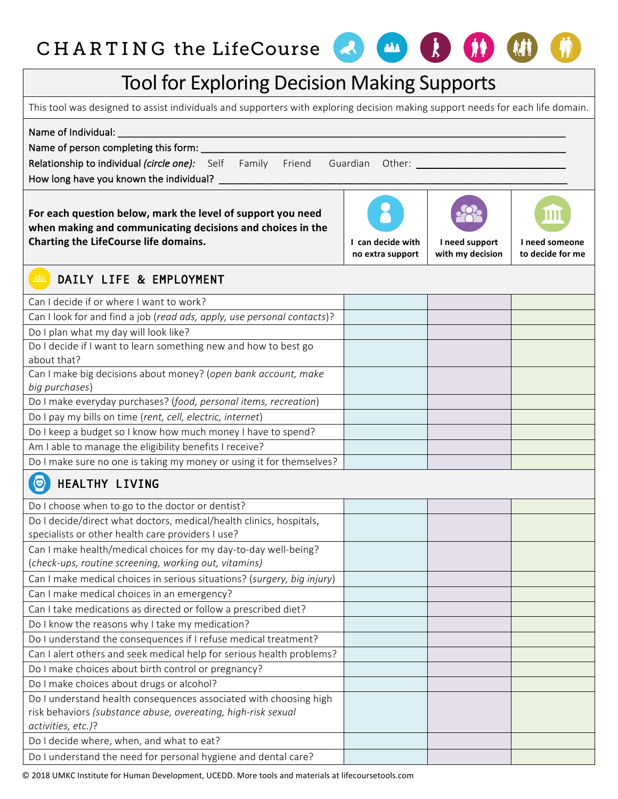## CHARTING the LifeCourse

## Tool for Exploring Decision Making Supports

This tool was designed to assist individuals and supporters with exploring decision making support needs for each life domain.

Name of Individual:

Name of person completing this form:

Relationship to individual *(circle one):* Self Family Friend Guardian Other: \_\_\_

How long have you known the individual? \_

For each question below, mark the level of support you need **when making and communicating decisions and choices in the Charting the LifeCourse life domains. If any other contains the life of the life of the life of the life of the life of the life of the life of the life of the life of the life of the life of the life of the life of the** 

**no extra support**

M

**I** need support **with my decision**

**I** need someone **to decide for me**

## DAILY LIFE & EMPLOYMENT

| Can I decide if or where I want to work?                                |  |  |
|-------------------------------------------------------------------------|--|--|
| Can I look for and find a job (read ads, apply, use personal contacts)? |  |  |
| Do I plan what my day will look like?                                   |  |  |
| Do I decide if I want to learn something new and how to best go         |  |  |
| about that?                                                             |  |  |
| Can I make big decisions about money? (open bank account, make          |  |  |
| big purchases)                                                          |  |  |
| Do I make everyday purchases? (food, personal items, recreation)        |  |  |
| Do I pay my bills on time (rent, cell, electric, internet)              |  |  |
| Do I keep a budget so I know how much money I have to spend?            |  |  |
| Am I able to manage the eligibility benefits I receive?                 |  |  |
| Do I make sure no one is taking my money or using it for themselves?    |  |  |
| $\circledcirc$<br>HEALTHY LIVING                                        |  |  |
|                                                                         |  |  |
| Do I choose when to go to the doctor or dentist?                        |  |  |
| Do I decide/direct what doctors, medical/health clinics, hospitals,     |  |  |
| specialists or other health care providers I use?                       |  |  |
| Can I make health/medical choices for my day-to-day well-being?         |  |  |
| (check-ups, routine screening, working out, vitamins)                   |  |  |
| Can I make medical choices in serious situations? (surgery, big injury) |  |  |
| Can I make medical choices in an emergency?                             |  |  |
| Can I take medications as directed or follow a prescribed diet?         |  |  |
| Do I know the reasons why I take my medication?                         |  |  |
| Do I understand the consequences if I refuse medical treatment?         |  |  |
| Can I alert others and seek medical help for serious health problems?   |  |  |
| Do I make choices about birth control or pregnancy?                     |  |  |
| Do I make choices about drugs or alcohol?                               |  |  |
| Do I understand health consequences associated with choosing high       |  |  |
| risk behaviors (substance abuse, overeating, high-risk sexual           |  |  |
| activities, etc.)?                                                      |  |  |
| Do I decide where, when, and what to eat?                               |  |  |
| Do I understand the need for personal hygiene and dental care?          |  |  |
|                                                                         |  |  |

© 2018 UMKC Institute for Human Development, UCEDD. More tools and materials at lifecoursetools.com